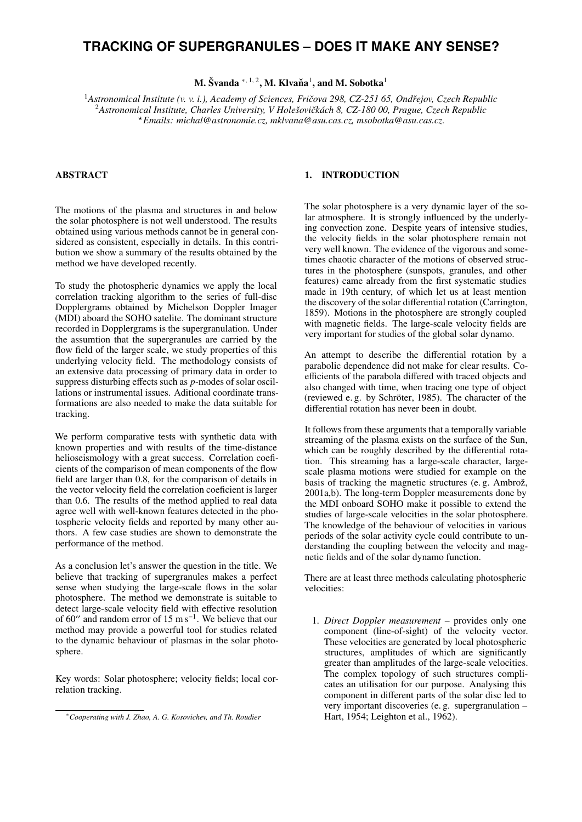# **TRACKING OF SUPERGRANULES – DOES IT MAKE ANY SENSE?**

M. Švanda \* $,$   $^{1, 2}$ , M. Klvaňa $^{1}$ , and M. Sobotka $^{1}$ 

<sup>1</sup> Astronomical Institute (v. v. i.), Academy of Sciences, Fričova 298, CZ-251 65, Ondřejov, Czech Republic <sup>2</sup>Astronomical Institute, Charles University, V Holešovičkách 8, CZ-180 00, Prague, Czech Republic ?*Emails: michal@astronomie.cz, mklvana@asu.cas.cz, msobotka@asu.cas.cz.*

# ABSTRACT

The motions of the plasma and structures in and below the solar photosphere is not well understood. The results obtained using various methods cannot be in general considered as consistent, especially in details. In this contribution we show a summary of the results obtained by the method we have developed recently.

To study the photospheric dynamics we apply the local correlation tracking algorithm to the series of full-disc Dopplergrams obtained by Michelson Doppler Imager (MDI) aboard the SOHO satelite. The dominant structure recorded in Dopplergrams is the supergranulation. Under the assumtion that the supergranules are carried by the flow field of the larger scale, we study properties of this underlying velocity field. The methodology consists of an extensive data processing of primary data in order to suppress disturbing effects such as *p*-modes of solar oscillations or instrumental issues. Aditional coordinate transformations are also needed to make the data suitable for tracking.

We perform comparative tests with synthetic data with known properties and with results of the time-distance helioseismology with a great success. Correlation coeficients of the comparison of mean components of the flow field are larger than 0.8, for the comparison of details in the vector velocity field the correlation coeficient is larger than 0.6. The results of the method applied to real data agree well with well-known features detected in the photospheric velocity fields and reported by many other authors. A few case studies are shown to demonstrate the performance of the method.

As a conclusion let's answer the question in the title. We believe that tracking of supergranules makes a perfect sense when studying the large-scale flows in the solar photosphere. The method we demonstrate is suitable to detect large-scale velocity field with effective resolution of 60" and random error of 15 m s<sup>-1</sup>. We believe that our method may provide a powerful tool for studies related to the dynamic behaviour of plasmas in the solar photosphere.

Key words: Solar photosphere; velocity fields; local correlation tracking.

### 1. INTRODUCTION

The solar photosphere is a very dynamic layer of the solar atmosphere. It is strongly influenced by the underlying convection zone. Despite years of intensive studies, the velocity fields in the solar photosphere remain not very well known. The evidence of the vigorous and sometimes chaotic character of the motions of observed structures in the photosphere (sunspots, granules, and other features) came already from the first systematic studies made in 19th century, of which let us at least mention the discovery of the solar differential rotation (Carrington, 1859). Motions in the photosphere are strongly coupled with magnetic fields. The large-scale velocity fields are very important for studies of the global solar dynamo.

An attempt to describe the differential rotation by a parabolic dependence did not make for clear results. Coefficients of the parabola differed with traced objects and also changed with time, when tracing one type of object (reviewed e.g. by Schröter, 1985). The character of the differential rotation has never been in doubt.

It follows from these arguments that a temporally variable streaming of the plasma exists on the surface of the Sun, which can be roughly described by the differential rotation. This streaming has a large-scale character, largescale plasma motions were studied for example on the basis of tracking the magnetic structures (e.g. Ambrož, 2001a,b). The long-term Doppler measurements done by the MDI onboard SOHO make it possible to extend the studies of large-scale velocities in the solar photosphere. The knowledge of the behaviour of velocities in various periods of the solar activity cycle could contribute to understanding the coupling between the velocity and magnetic fields and of the solar dynamo function.

There are at least three methods calculating photospheric velocities:

1. *Direct Doppler measurement* – provides only one component (line-of-sight) of the velocity vector. These velocities are generated by local photospheric structures, amplitudes of which are significantly greater than amplitudes of the large-scale velocities. The complex topology of such structures complicates an utilisation for our purpose. Analysing this component in different parts of the solar disc led to very important discoveries (e. g. supergranulation – Hart, 1954; Leighton et al., 1962).

<sup>∗</sup>*Cooperating with J. Zhao, A. G. Kosovichev, and Th. Roudier*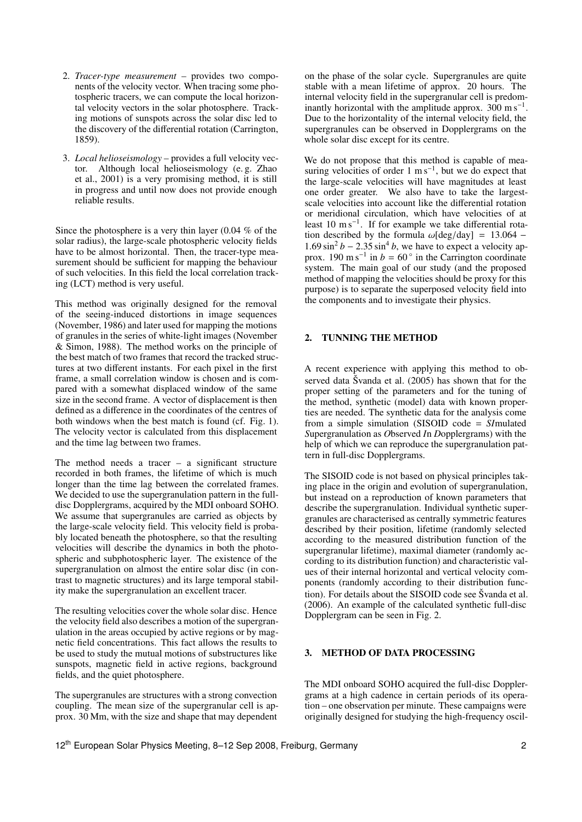- 2. *Tracer-type measurement* provides two components of the velocity vector. When tracing some photospheric tracers, we can compute the local horizontal velocity vectors in the solar photosphere. Tracking motions of sunspots across the solar disc led to the discovery of the differential rotation (Carrington, 1859).
- 3. *Local helioseismology* provides a full velocity vector. Although local helioseismology (e. g. Zhao et al., 2001) is a very promising method, it is still in progress and until now does not provide enough reliable results.

Since the photosphere is a very thin layer (0.04 % of the solar radius), the large-scale photospheric velocity fields have to be almost horizontal. Then, the tracer-type measurement should be sufficient for mapping the behaviour of such velocities. In this field the local correlation tracking (LCT) method is very useful.

This method was originally designed for the removal of the seeing-induced distortions in image sequences (November, 1986) and later used for mapping the motions of granules in the series of white-light images (November & Simon, 1988). The method works on the principle of the best match of two frames that record the tracked structures at two different instants. For each pixel in the first frame, a small correlation window is chosen and is compared with a somewhat displaced window of the same size in the second frame. A vector of displacement is then defined as a difference in the coordinates of the centres of both windows when the best match is found (cf. Fig. 1). The velocity vector is calculated from this displacement and the time lag between two frames.

The method needs a tracer  $-$  a significant structure recorded in both frames, the lifetime of which is much longer than the time lag between the correlated frames. We decided to use the supergranulation pattern in the fulldisc Dopplergrams, acquired by the MDI onboard SOHO. We assume that supergranules are carried as objects by the large-scale velocity field. This velocity field is probably located beneath the photosphere, so that the resulting velocities will describe the dynamics in both the photospheric and subphotospheric layer. The existence of the supergranulation on almost the entire solar disc (in contrast to magnetic structures) and its large temporal stability make the supergranulation an excellent tracer.

The resulting velocities cover the whole solar disc. Hence the velocity field also describes a motion of the supergranulation in the areas occupied by active regions or by magnetic field concentrations. This fact allows the results to be used to study the mutual motions of substructures like sunspots, magnetic field in active regions, background fields, and the quiet photosphere.

The supergranules are structures with a strong convection coupling. The mean size of the supergranular cell is approx. 30 Mm, with the size and shape that may dependent on the phase of the solar cycle. Supergranules are quite stable with a mean lifetime of approx. 20 hours. The internal velocity field in the supergranular cell is predominantly horizontal with the amplitude approx.  $300 \text{ m s}^{-1}$ . Due to the horizontality of the internal velocity field, the supergranules can be observed in Dopplergrams on the whole solar disc except for its centre.

We do not propose that this method is capable of measuring velocities of order  $1 \text{ m s}^{-1}$ , but we do expect that the large-scale velocities will have magnitudes at least one order greater. We also have to take the largestscale velocities into account like the differential rotation or meridional circulation, which have velocities of at least 10 m s<sup>-1</sup>. If for example we take differential rotation described by the formula  $\omega$ [deg/day] = 13.064 − 1.69 sin<sup>2</sup> *b* − 2.35 sin<sup>4</sup> *b*, we have to expect a velocity approx. 190 m s<sup>-1</sup> in *b* = 60 $^{\circ}$  in the Carrington coordinate  $1.69 \sin^2 b - 2.35 \sin^4 b$ , we have to expect a velocity apsystem. The main goal of our study (and the proposed method of mapping the velocities should be proxy for this purpose) is to separate the superposed velocity field into the components and to investigate their physics.

### 2. TUNNING THE METHOD

A recent experience with applying this method to observed data Švanda et al.  $(2005)$  has shown that for the proper setting of the parameters and for the tuning of the method, synthetic (model) data with known properties are needed. The synthetic data for the analysis come from a simple simulation (SISOID code = *SI*mulated *S*upergranulation as *O*bserved *I*n *D*opplergrams) with the help of which we can reproduce the supergranulation pattern in full-disc Dopplergrams.

The SISOID code is not based on physical principles taking place in the origin and evolution of supergranulation, but instead on a reproduction of known parameters that describe the supergranulation. Individual synthetic supergranules are characterised as centrally symmetric features described by their position, lifetime (randomly selected according to the measured distribution function of the supergranular lifetime), maximal diameter (randomly according to its distribution function) and characteristic values of their internal horizontal and vertical velocity components (randomly according to their distribution function). For details about the SISOID code see Svanda et al. (2006). An example of the calculated synthetic full-disc Dopplergram can be seen in Fig. 2.

### 3. METHOD OF DATA PROCESSING

The MDI onboard SOHO acquired the full-disc Dopplergrams at a high cadence in certain periods of its operation – one observation per minute. These campaigns were originally designed for studying the high-frequency oscil-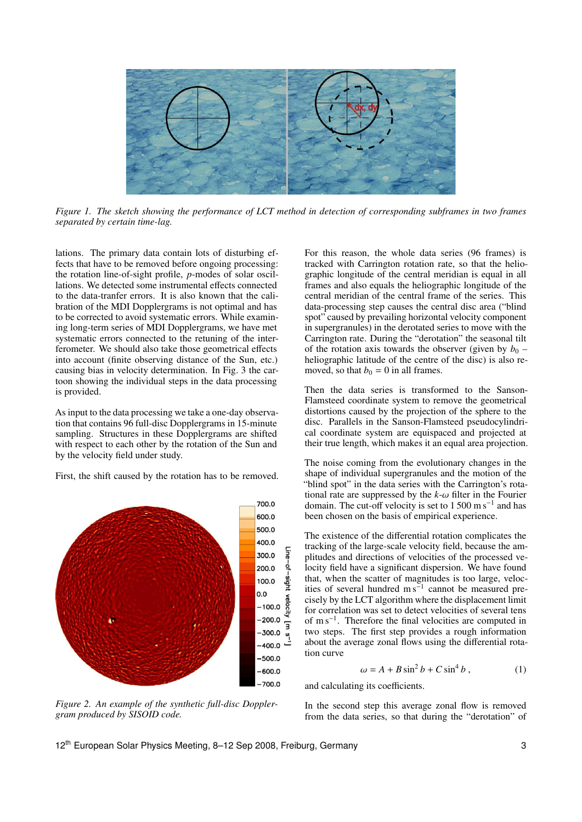

*Figure 1. The sketch showing the performance of LCT method in detection of corresponding subframes in two frames separated by certain time-lag.*

lations. The primary data contain lots of disturbing effects that have to be removed before ongoing processing: the rotation line-of-sight profile, *p*-modes of solar oscillations. We detected some instrumental effects connected to the data-tranfer errors. It is also known that the calibration of the MDI Dopplergrams is not optimal and has to be corrected to avoid systematic errors. While examining long-term series of MDI Dopplergrams, we have met systematic errors connected to the retuning of the interferometer. We should also take those geometrical effects into account (finite observing distance of the Sun, etc.) causing bias in velocity determination. In Fig. 3 the cartoon showing the individual steps in the data processing is provided.

As input to the data processing we take a one-day observation that contains 96 full-disc Dopplergrams in 15-minute sampling. Structures in these Dopplergrams are shifted with respect to each other by the rotation of the Sun and by the velocity field under study.

First, the shift caused by the rotation has to be removed.



*Figure 2. An example of the synthetic full-disc Dopplergram produced by SISOID code.*

For this reason, the whole data series (96 frames) is tracked with Carrington rotation rate, so that the heliographic longitude of the central meridian is equal in all frames and also equals the heliographic longitude of the central meridian of the central frame of the series. This data-processing step causes the central disc area ("blind spot" caused by prevailing horizontal velocity component in supergranules) in the derotated series to move with the Carrington rate. During the "derotation" the seasonal tilt of the rotation axis towards the observer (given by  $b_0$  – heliographic latitude of the centre of the disc) is also removed, so that  $b_0 = 0$  in all frames.

Then the data series is transformed to the Sanson-Flamsteed coordinate system to remove the geometrical distortions caused by the projection of the sphere to the disc. Parallels in the Sanson-Flamsteed pseudocylindrical coordinate system are equispaced and projected at their true length, which makes it an equal area projection.

The noise coming from the evolutionary changes in the shape of individual supergranules and the motion of the "blind spot" in the data series with the Carrington's rotational rate are suppressed by the  $k-\omega$  filter in the Fourier domain. The cut-off velocity is set to  $1500 \text{ m s}^{-1}$  and has been chosen on the basis of empirical experience.

The existence of the differential rotation complicates the tracking of the large-scale velocity field, because the amplitudes and directions of velocities of the processed velocity field have a significant dispersion. We have found that, when the scatter of magnitudes is too large, velocities of several hundred  $ms^{-1}$  cannot be measured precisely by the LCT algorithm where the displacement limit for correlation was set to detect velocities of several tens of m s<sup>−</sup><sup>1</sup> . Therefore the final velocities are computed in two steps. The first step provides a rough information about the average zonal flows using the differential rotation curve

$$
\omega = A + B \sin^2 b + C \sin^4 b \,, \tag{1}
$$

and calculating its coefficients.

In the second step this average zonal flow is removed from the data series, so that during the "derotation" of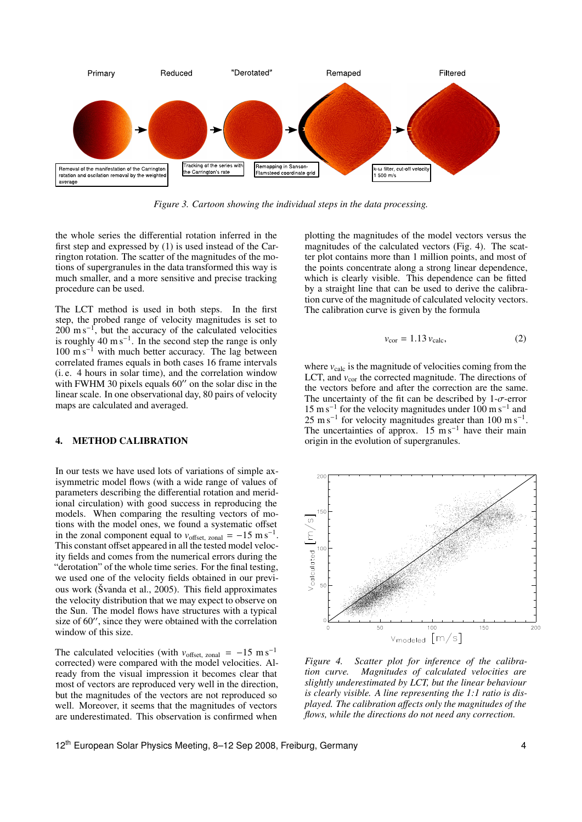

*Figure 3. Cartoon showing the individual steps in the data processing.*

the whole series the differential rotation inferred in the first step and expressed by (1) is used instead of the Carrington rotation. The scatter of the magnitudes of the motions of supergranules in the data transformed this way is much smaller, and a more sensitive and precise tracking procedure can be used.

The LCT method is used in both steps. In the first step, the probed range of velocity magnitudes is set to  $200 \text{ m s}^{-1}$ , but the accuracy of the calculated velocities is roughly  $40 \text{ m s}^{-1}$ . In the second step the range is only 100 m s<sup>−</sup><sup>1</sup> with much better accuracy. The lag between correlated frames equals in both cases 16 frame intervals (i. e. 4 hours in solar time), and the correlation window with FWHM 30 pixels equals 60" on the solar disc in the linear scale. In one observational day, 80 pairs of velocity maps are calculated and averaged.

#### 4. METHOD CALIBRATION

In our tests we have used lots of variations of simple axisymmetric model flows (with a wide range of values of parameters describing the differential rotation and meridional circulation) with good success in reproducing the models. When comparing the resulting vectors of motions with the model ones, we found a systematic offset in the zonal component equal to  $v_{\text{offset}}$  zonal =  $-15 \text{ m s}^{-1}$ .<br>This constant offset appeared in all the tested model veloc This constant offset appeared in all the tested model velocity fields and comes from the numerical errors during the "derotation" of the whole time series. For the final testing, we used one of the velocity fields obtained in our previous work (Švanda et al., 2005). This field approximates the velocity distribution that we may expect to observe on the Sun. The model flows have structures with a typical size of  $60$ ", since they were obtained with the correlation window of this size.

The calculated velocities (with  $v_{offset, zonal} = -15 \text{ m s}^{-1}$ corrected) were compared with the model velocities. Already from the visual impression it becomes clear that most of vectors are reproduced very well in the direction, but the magnitudes of the vectors are not reproduced so well. Moreover, it seems that the magnitudes of vectors are underestimated. This observation is confirmed when

plotting the magnitudes of the model vectors versus the magnitudes of the calculated vectors (Fig. 4). The scatter plot contains more than 1 million points, and most of the points concentrate along a strong linear dependence, which is clearly visible. This dependence can be fitted by a straight line that can be used to derive the calibration curve of the magnitude of calculated velocity vectors. The calibration curve is given by the formula

$$
v_{\rm cor} = 1.13 v_{\rm calc},\tag{2}
$$

where  $v_{\text{calc}}$  is the magnitude of velocities coming from the LCT, and  $v_{\text{cor}}$  the corrected magnitude. The directions of the vectors before and after the correction are the same. The uncertainty of the fit can be described by  $1-\sigma$ -error 15 m s<sup>−</sup><sup>1</sup> for the velocity magnitudes under 100 m s<sup>−</sup><sup>1</sup> and  $25 \text{ m s}^{-1}$  for velocity magnitudes greater than 100 m s<sup>-1</sup>. The uncertainties of approx.  $15 \text{ m s}^{-1}$  have their main origin in the evolution of supergranules.



*Figure 4. Scatter plot for inference of the calibration curve. Magnitudes of calculated velocities are slightly underestimated by LCT, but the linear behaviour is clearly visible. A line representing the 1:1 ratio is displayed. The calibration a*ff*ects only the magnitudes of the flows, while the directions do not need any correction.*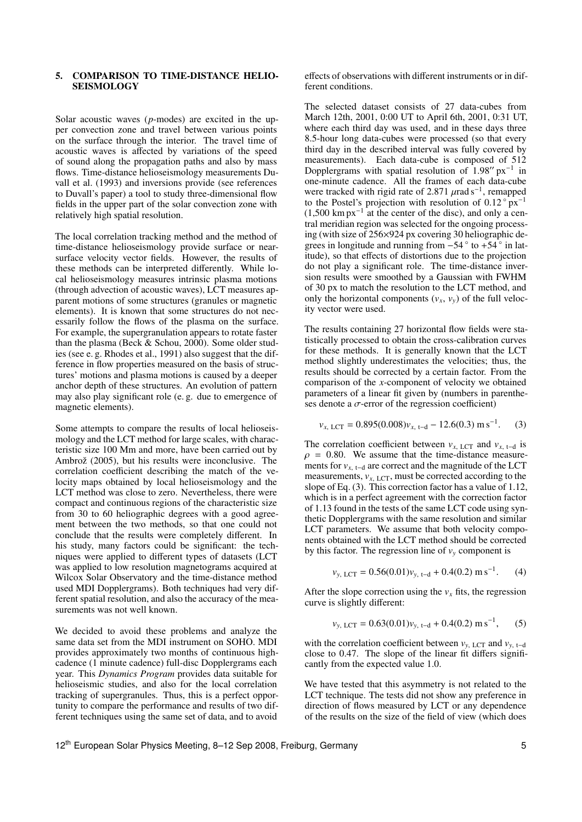### 5. COMPARISON TO TIME-DISTANCE HELIO-**SEISMOLOGY**

Solar acoustic waves (*p*-modes) are excited in the upper convection zone and travel between various points on the surface through the interior. The travel time of acoustic waves is affected by variations of the speed of sound along the propagation paths and also by mass flows. Time-distance helioseismology measurements Duvall et al. (1993) and inversions provide (see references to Duvall's paper) a tool to study three-dimensional flow fields in the upper part of the solar convection zone with relatively high spatial resolution.

The local correlation tracking method and the method of time-distance helioseismology provide surface or nearsurface velocity vector fields. However, the results of these methods can be interpreted differently. While local helioseismology measures intrinsic plasma motions (through advection of acoustic waves), LCT measures apparent motions of some structures (granules or magnetic elements). It is known that some structures do not necessarily follow the flows of the plasma on the surface. For example, the supergranulation appears to rotate faster than the plasma (Beck & Schou, 2000). Some older studies (see e. g. Rhodes et al., 1991) also suggest that the difference in flow properties measured on the basis of structures' motions and plasma motions is caused by a deeper anchor depth of these structures. An evolution of pattern may also play significant role (e. g. due to emergence of magnetic elements).

Some attempts to compare the results of local helioseismology and the LCT method for large scales, with characteristic size 100 Mm and more, have been carried out by Ambrož  $(2005)$ , but his results were inconclusive. The correlation coefficient describing the match of the velocity maps obtained by local helioseismology and the LCT method was close to zero. Nevertheless, there were compact and continuous regions of the characteristic size from 30 to 60 heliographic degrees with a good agreement between the two methods, so that one could not conclude that the results were completely different. In his study, many factors could be significant: the techniques were applied to different types of datasets (LCT was applied to low resolution magnetograms acquired at Wilcox Solar Observatory and the time-distance method used MDI Dopplergrams). Both techniques had very different spatial resolution, and also the accuracy of the measurements was not well known.

We decided to avoid these problems and analyze the same data set from the MDI instrument on SOHO. MDI provides approximately two months of continuous highcadence (1 minute cadence) full-disc Dopplergrams each year. This *Dynamics Program* provides data suitable for helioseismic studies, and also for the local correlation tracking of supergranules. Thus, this is a perfect opportunity to compare the performance and results of two different techniques using the same set of data, and to avoid effects of observations with different instruments or in different conditions.

The selected dataset consists of 27 data-cubes from March 12th, 2001, 0:00 UT to April 6th, 2001, 0:31 UT, where each third day was used, and in these days three 8.5-hour long data-cubes were processed (so that every third day in the described interval was fully covered by measurements). Each data-cube is composed of 512 Dopplergrams with spatial resolution of  $1.98''$  px<sup>-1</sup> in one-minute cadence. All the frames of each data-cube were tracked with rigid rate of 2.871  $\mu$ rad s<sup>-1</sup>, remapped<br>to the Postel's projection with resolution of 0.12° px<sup>-1</sup> to the Postel's projection with resolution of  $0.12^\circ$  px<sup>-1</sup> (1,500 km px−<sup>1</sup> at the center of the disc), and only a central meridian region was selected for the ongoing processing (with size of 256×924 px covering 30 heliographic degrees in longitude and running from  $-54°$  to  $+54°$  in latitude), so that effects of distortions due to the projection do not play a significant role. The time-distance inversion results were smoothed by a Gaussian with FWHM of 30 px to match the resolution to the LCT method, and only the horizontal components  $(v_x, v_y)$  of the full velocity vector were used.

The results containing 27 horizontal flow fields were statistically processed to obtain the cross-calibration curves for these methods. It is generally known that the LCT method slightly underestimates the velocities; thus, the results should be corrected by a certain factor. From the comparison of the *x*-component of velocity we obtained parameters of a linear fit given by (numbers in parentheses denote a  $\sigma$ -error of the regression coefficient)

$$
v_{x, \text{ LCT}} = 0.895(0.008)v_{x, \text{ t-d}} - 12.6(0.3) \text{ m s}^{-1}.
$$
 (3)

The correlation coefficient between  $v_{x, \text{LCT}}$  and  $v_{x, t-d}$  is  $\rho = 0.80$ . We assume that the time-distance measurements for  $v_{x,t-d}$  are correct and the magnitude of the LCT measurements,  $v_{\text{x, LCT}}$ , must be corrected according to the slope of Eq. (3). This correction factor has a value of 1.12, which is in a perfect agreement with the correction factor of 1.13 found in the tests of the same LCT code using synthetic Dopplergrams with the same resolution and similar LCT parameters. We assume that both velocity components obtained with the LCT method should be corrected by this factor. The regression line of  $v_y$  component is

$$
v_{y, \text{ LCT}} = 0.56(0.01)v_{y, \text{ t-d}} + 0.4(0.2) \text{ m s}^{-1}. \qquad (4)
$$

After the slope correction using the  $v_x$  fits, the regression curve is slightly different:

$$
v_{y, \text{ LCT}} = 0.63(0.01)v_{y, \text{t-d}} + 0.4(0.2) \text{ m s}^{-1},
$$
 (5)

with the correlation coefficient between  $v_{y, \text{LCT}}$  and  $v_{y, \text{t-d}}$ close to 0.47. The slope of the linear fit differs significantly from the expected value 1.0.

We have tested that this asymmetry is not related to the LCT technique. The tests did not show any preference in direction of flows measured by LCT or any dependence of the results on the size of the field of view (which does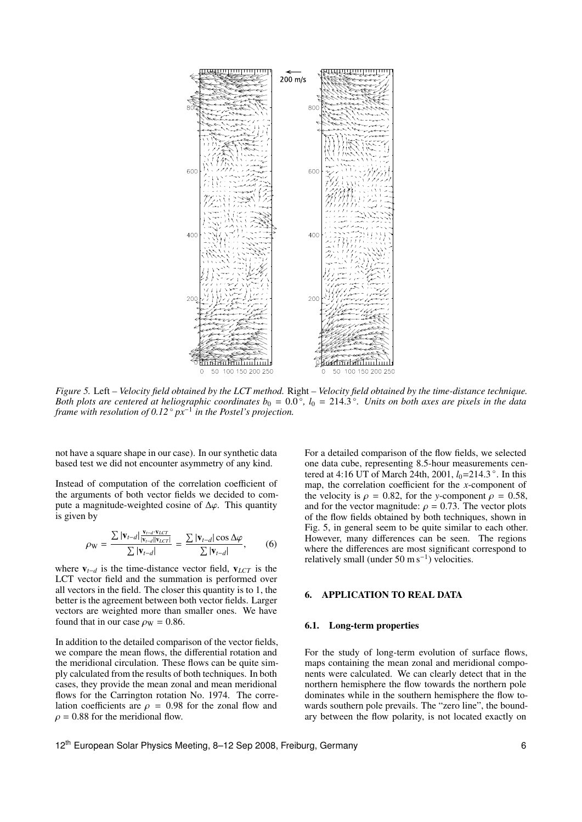

*Figure 5.* Left *– Velocity field obtained by the LCT method.* Right *– Velocity field obtained by the time-distance technique.* Both plots are centered at heliographic coordinates  $b_0 = 0.0^\circ$ ,  $l_0 = 214.3^\circ$ . Units on both axes are pixels in the data<br>frame with resolution of 0.12° px<sup>-1</sup> in the Postel's projection *frame with resolution of 0.12* ◦ *px*<sup>−</sup><sup>1</sup> *in the Postel's projection.*

not have a square shape in our case). In our synthetic data based test we did not encounter asymmetry of any kind.

Instead of computation of the correlation coefficient of the arguments of both vector fields we decided to compute a magnitude-weighted cosine of  $\Delta\varphi$ . This quantity is given by

$$
\rho_{\mathbf{W}} = \frac{\sum |\mathbf{v}_{t-d}| \frac{\mathbf{v}_{t-d} \cdot \mathbf{v}_{LCT}}{|\mathbf{v}_{t-d}| |\mathbf{v}_{LCT}|}}{\sum |\mathbf{v}_{t-d}|} = \frac{\sum |\mathbf{v}_{t-d}| \cos \Delta \varphi}{\sum |\mathbf{v}_{t-d}|},\qquad(6)
$$

where  $v_{t-d}$  is the time-distance vector field,  $v_{LCT}$  is the LCT vector field and the summation is performed over all vectors in the field. The closer this quantity is to 1, the better is the agreement between both vector fields. Larger vectors are weighted more than smaller ones. We have found that in our case  $\rho_W = 0.86$ .

In addition to the detailed comparison of the vector fields, we compare the mean flows, the differential rotation and the meridional circulation. These flows can be quite simply calculated from the results of both techniques. In both cases, they provide the mean zonal and mean meridional flows for the Carrington rotation No. 1974. The correlation coefficients are  $\rho = 0.98$  for the zonal flow and  $\rho = 0.88$  for the meridional flow.

For a detailed comparison of the flow fields, we selected one data cube, representing 8.5-hour measurements centered at 4:16 UT of March 24th, 2001, *l*<sub>0</sub>=214.3°. In this map, the correlation coefficient for the *x*-component of the velocity is  $\rho = 0.82$ , for the *y*-component  $\rho = 0.58$ , and for the vector magnitude:  $\rho = 0.73$ . The vector plots of the flow fields obtained by both techniques, shown in Fig. 5, in general seem to be quite similar to each other. However, many differences can be seen. The regions where the differences are most significant correspond to relatively small (under 50 m s<sup>-1</sup>) velocities.

## 6. APPLICATION TO REAL DATA

#### 6.1. Long-term properties

For the study of long-term evolution of surface flows, maps containing the mean zonal and meridional components were calculated. We can clearly detect that in the northern hemisphere the flow towards the northern pole dominates while in the southern hemisphere the flow towards southern pole prevails. The "zero line", the boundary between the flow polarity, is not located exactly on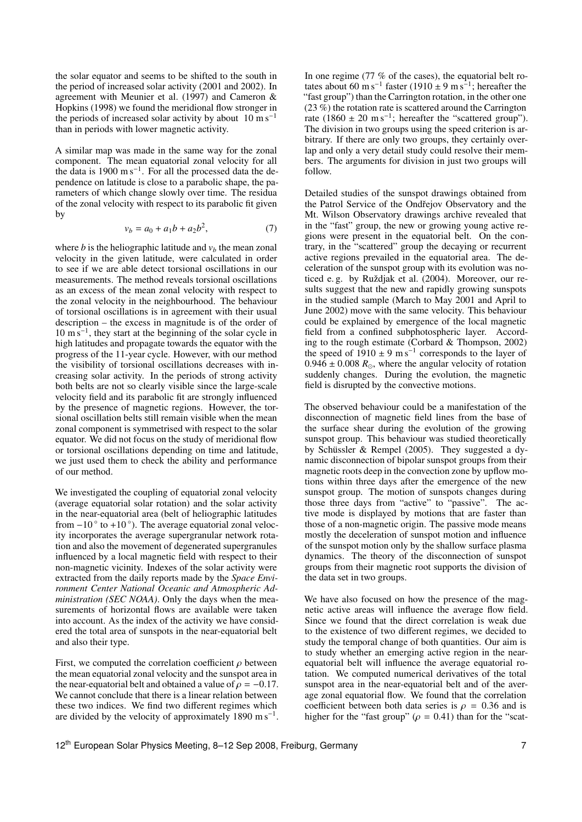the solar equator and seems to be shifted to the south in the period of increased solar activity (2001 and 2002). In agreement with Meunier et al. (1997) and Cameron & Hopkins (1998) we found the meridional flow stronger in the periods of increased solar activity by about  $10 \text{ m s}^{-1}$ than in periods with lower magnetic activity.

A similar map was made in the same way for the zonal component. The mean equatorial zonal velocity for all the data is 1900 m s<sup>-1</sup>. For all the processed data the dependence on latitude is close to a parabolic shape, the parameters of which change slowly over time. The residua of the zonal velocity with respect to its parabolic fit given by

$$
v_b = a_0 + a_1 b + a_2 b^2, \tag{7}
$$

where *b* is the heliographic latitude and  $v<sub>b</sub>$  the mean zonal velocity in the given latitude, were calculated in order to see if we are able detect torsional oscillations in our measurements. The method reveals torsional oscillations as an excess of the mean zonal velocity with respect to the zonal velocity in the neighbourhood. The behaviour of torsional oscillations is in agreement with their usual description – the excess in magnitude is of the order of 10 m s<sup>−</sup><sup>1</sup> , they start at the beginning of the solar cycle in high latitudes and propagate towards the equator with the progress of the 11-year cycle. However, with our method the visibility of torsional oscillations decreases with increasing solar activity. In the periods of strong activity both belts are not so clearly visible since the large-scale velocity field and its parabolic fit are strongly influenced by the presence of magnetic regions. However, the torsional oscillation belts still remain visible when the mean zonal component is symmetrised with respect to the solar equator. We did not focus on the study of meridional flow or torsional oscillations depending on time and latitude, we just used them to check the ability and performance of our method.

We investigated the coupling of equatorial zonal velocity (average equatorial solar rotation) and the solar activity in the near-equatorial area (belt of heliographic latitudes from  $-10$   $\degree$  to  $+10$   $\degree$ ). The average equatorial zonal velocity incorporates the average supergranular network rotation and also the movement of degenerated supergranules influenced by a local magnetic field with respect to their non-magnetic vicinity. Indexes of the solar activity were extracted from the daily reports made by the *Space Environment Center National Oceanic and Atmospheric Administration (SEC NOAA)*. Only the days when the measurements of horizontal flows are available were taken into account. As the index of the activity we have considered the total area of sunspots in the near-equatorial belt and also their type.

First, we computed the correlation coefficient  $\rho$  between the mean equatorial zonal velocity and the sunspot area in the near-equatorial belt and obtained a value of  $\rho = -0.17$ . We cannot conclude that there is a linear relation between these two indices. We find two different regimes which are divided by the velocity of approximately  $1890 \text{ m s}^{-1}$ .

In one regime (77 % of the cases), the equatorial belt rotates about 60 m s<sup>-1</sup> faster (1910 ± 9 m s<sup>-1</sup>; hereafter the "fast group") than the Carrington rotation, in the other one  $(23\%)$  the rotation rate is scattered around the Carrington rate (1860  $\pm$  20 m s<sup>-1</sup>; hereafter the "scattered group"). The division in two groups using the speed criterion is arbitrary. If there are only two groups, they certainly overlap and only a very detail study could resolve their members. The arguments for division in just two groups will follow.

Detailed studies of the sunspot drawings obtained from the Patrol Service of the Ondřejov Observatory and the Mt. Wilson Observatory drawings archive revealed that in the "fast" group, the new or growing young active regions were present in the equatorial belt. On the contrary, in the "scattered" group the decaying or recurrent active regions prevailed in the equatorial area. The deceleration of the sunspot group with its evolution was noticed e.g. by Ruždjak et al. (2004). Moreover, our results suggest that the new and rapidly growing sunspots in the studied sample (March to May 2001 and April to June 2002) move with the same velocity. This behaviour could be explained by emergence of the local magnetic field from a confined subphotospheric layer. According to the rough estimate (Corbard & Thompson, 2002) the speed of  $1910 \pm 9$  m s<sup>-1</sup> corresponds to the layer of  $0.946 \pm 0.008$   $R_{\odot}$ , where the angular velocity of rotation suddenly changes. During the evolution, the magnetic field is disrupted by the convective motions.

The observed behaviour could be a manifestation of the disconnection of magnetic field lines from the base of the surface shear during the evolution of the growing sunspot group. This behaviour was studied theoretically by Schüssler & Rempel (2005). They suggested a dynamic disconnection of bipolar sunspot groups from their magnetic roots deep in the convection zone by upflow motions within three days after the emergence of the new sunspot group. The motion of sunspots changes during those three days from "active" to "passive". The active mode is displayed by motions that are faster than those of a non-magnetic origin. The passive mode means mostly the deceleration of sunspot motion and influence of the sunspot motion only by the shallow surface plasma dynamics. The theory of the disconnection of sunspot groups from their magnetic root supports the division of the data set in two groups.

We have also focused on how the presence of the magnetic active areas will influence the average flow field. Since we found that the direct correlation is weak due to the existence of two different regimes, we decided to study the temporal change of both quantities. Our aim is to study whether an emerging active region in the nearequatorial belt will influence the average equatorial rotation. We computed numerical derivatives of the total sunspot area in the near-equatorial belt and of the average zonal equatorial flow. We found that the correlation coefficient between both data series is  $\rho = 0.36$  and is higher for the "fast group" ( $\rho = 0.41$ ) than for the "scat-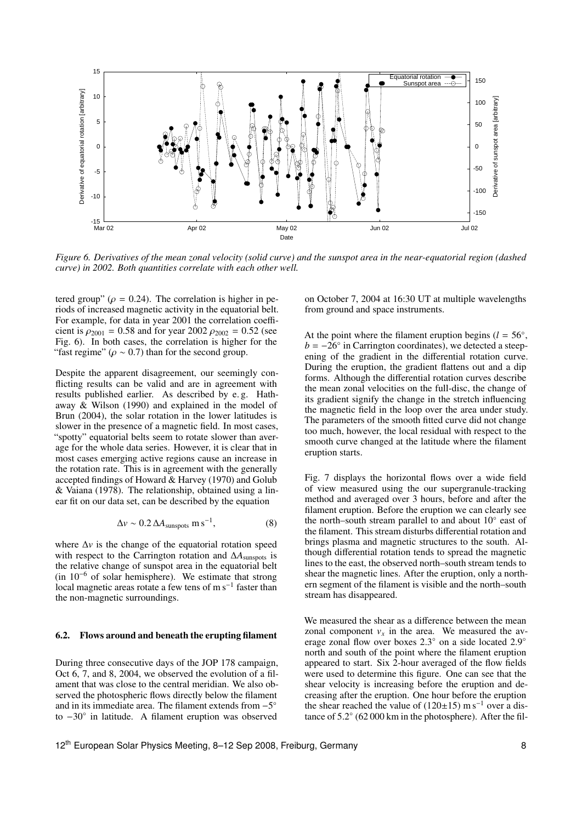![](_page_7_Figure_0.jpeg)

*Figure 6. Derivatives of the mean zonal velocity (solid curve) and the sunspot area in the near-equatorial region (dashed curve) in 2002. Both quantities correlate with each other well.*

tered group" ( $\rho = 0.24$ ). The correlation is higher in periods of increased magnetic activity in the equatorial belt. For example, for data in year 2001 the correlation coefficient is  $\rho_{2001} = 0.58$  and for year 2002  $\rho_{2002} = 0.52$  (see Fig. 6). In both cases, the correlation is higher for the "fast regime" ( $\rho \sim 0.7$ ) than for the second group.

Despite the apparent disagreement, our seemingly conflicting results can be valid and are in agreement with results published earlier. As described by e. g. Hathaway & Wilson (1990) and explained in the model of Brun (2004), the solar rotation in the lower latitudes is slower in the presence of a magnetic field. In most cases, "spotty" equatorial belts seem to rotate slower than average for the whole data series. However, it is clear that in most cases emerging active regions cause an increase in the rotation rate. This is in agreement with the generally accepted findings of Howard & Harvey (1970) and Golub & Vaiana (1978). The relationship, obtained using a linear fit on our data set, can be described by the equation

$$
\Delta v \sim 0.2 \,\Delta A_{\text{sunspots}} \,\mathrm{m\,s}^{-1},\tag{8}
$$

where ∆*v* is the change of the equatorial rotation speed with respect to the Carrington rotation and ∆*A*<sub>sunspots</sub> is the relative change of sunspot area in the equatorial belt (in 10<sup>−</sup><sup>6</sup> of solar hemisphere). We estimate that strong local magnetic areas rotate a few tens of m s<sup>-1</sup> faster than the non-magnetic surroundings.

#### 6.2. Flows around and beneath the erupting filament

During three consecutive days of the JOP 178 campaign, Oct 6, 7, and 8, 2004, we observed the evolution of a filament that was close to the central meridian. We also observed the photospheric flows directly below the filament and in its immediate area. The filament extends from  $-5^\circ$ to −30◦ in latitude. A filament eruption was observed

on October 7, 2004 at 16:30 UT at multiple wavelengths from ground and space instruments.

At the point where the filament eruption begins ( $l = 56°$ ,  $b = -26^\circ$  in Carrington coordinates), we detected a steepening of the gradient in the differential rotation curve. During the eruption, the gradient flattens out and a dip forms. Although the differential rotation curves describe the mean zonal velocities on the full-disc, the change of its gradient signify the change in the stretch influencing the magnetic field in the loop over the area under study. The parameters of the smooth fitted curve did not change too much, however, the local residual with respect to the smooth curve changed at the latitude where the filament eruption starts.

Fig. 7 displays the horizontal flows over a wide field of view measured using the our supergranule-tracking method and averaged over 3 hours, before and after the filament eruption. Before the eruption we can clearly see the north–south stream parallel to and about 10° east of the filament. This stream disturbs differential rotation and brings plasma and magnetic structures to the south. Although differential rotation tends to spread the magnetic lines to the east, the observed north–south stream tends to shear the magnetic lines. After the eruption, only a northern segment of the filament is visible and the north–south stream has disappeared.

We measured the shear as a difference between the mean zonal component  $v_x$  in the area. We measured the average zonal flow over boxes 2.3◦ on a side located 2.9◦ north and south of the point where the filament eruption appeared to start. Six 2-hour averaged of the flow fields were used to determine this figure. One can see that the shear velocity is increasing before the eruption and decreasing after the eruption. One hour before the eruption the shear reached the value of  $(120±15)$  m s<sup>-1</sup> over a distance of 5.2◦ (62 000 km in the photosphere). After the fil-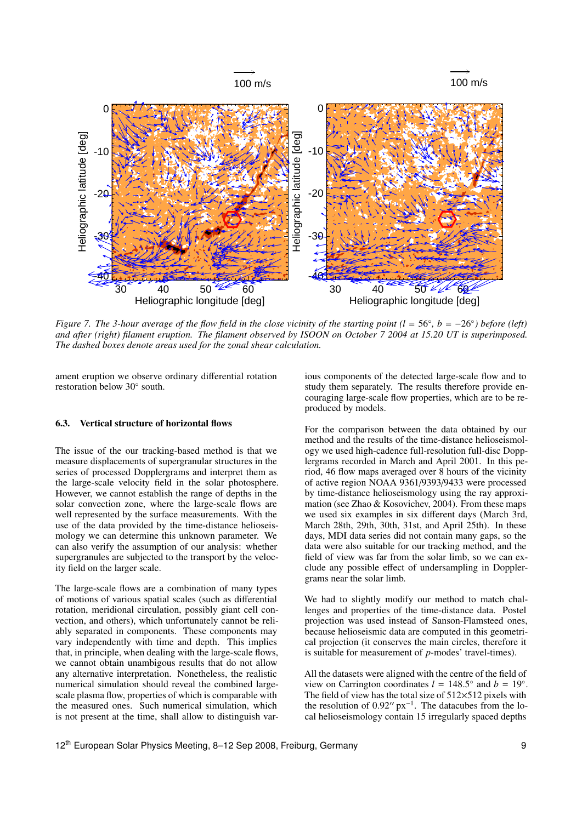![](_page_8_Figure_0.jpeg)

*Figure 7. The 3-hour average of the flow field in the close vicinity of the starting point (l = 56°, b = −26°) before (left) and after (right) filament eruption. The filament observed by ISOON on October 7 2004 at 15.20 UT is superimposed. The dashed boxes denote areas used for the zonal shear calculation.*

ament eruption we observe ordinary differential rotation restoration below 30◦ south.

#### 6.3. Vertical structure of horizontal flows

The issue of the our tracking-based method is that we measure displacements of supergranular structures in the series of processed Dopplergrams and interpret them as the large-scale velocity field in the solar photosphere. However, we cannot establish the range of depths in the solar convection zone, where the large-scale flows are well represented by the surface measurements. With the use of the data provided by the time-distance helioseismology we can determine this unknown parameter. We can also verify the assumption of our analysis: whether supergranules are subjected to the transport by the velocity field on the larger scale.

The large-scale flows are a combination of many types of motions of various spatial scales (such as differential rotation, meridional circulation, possibly giant cell convection, and others), which unfortunately cannot be reliably separated in components. These components may vary independently with time and depth. This implies that, in principle, when dealing with the large-scale flows, we cannot obtain unambigous results that do not allow any alternative interpretation. Nonetheless, the realistic numerical simulation should reveal the combined largescale plasma flow, properties of which is comparable with the measured ones. Such numerical simulation, which is not present at the time, shall allow to distinguish various components of the detected large-scale flow and to study them separately. The results therefore provide encouraging large-scale flow properties, which are to be reproduced by models.

For the comparison between the data obtained by our method and the results of the time-distance helioseismology we used high-cadence full-resolution full-disc Dopplergrams recorded in March and April 2001. In this period, 46 flow maps averaged over 8 hours of the vicinity of active region NOAA 9361/9393/9433 were processed by time-distance helioseismology using the ray approximation (see Zhao & Kosovichev, 2004). From these maps we used six examples in six different days (March 3rd, March 28th, 29th, 30th, 31st, and April 25th). In these days, MDI data series did not contain many gaps, so the data were also suitable for our tracking method, and the field of view was far from the solar limb, so we can exclude any possible effect of undersampling in Dopplergrams near the solar limb.

We had to slightly modify our method to match challenges and properties of the time-distance data. Postel projection was used instead of Sanson-Flamsteed ones, because helioseismic data are computed in this geometrical projection (it conserves the main circles, therefore it is suitable for measurement of *p*-modes' travel-times).

All the datasets were aligned with the centre of the field of view on Carrington coordinates  $l = 148.5^\circ$  and  $b = 19^\circ$ .<br>The field of view has the total size of 512×512 pixels with The field of view has the total size of  $512\times512$  pixels with the resolution of  $0.92''$  px<sup>-1</sup>. The datacubes from the local helioseismology contain 15 irregularly spaced depths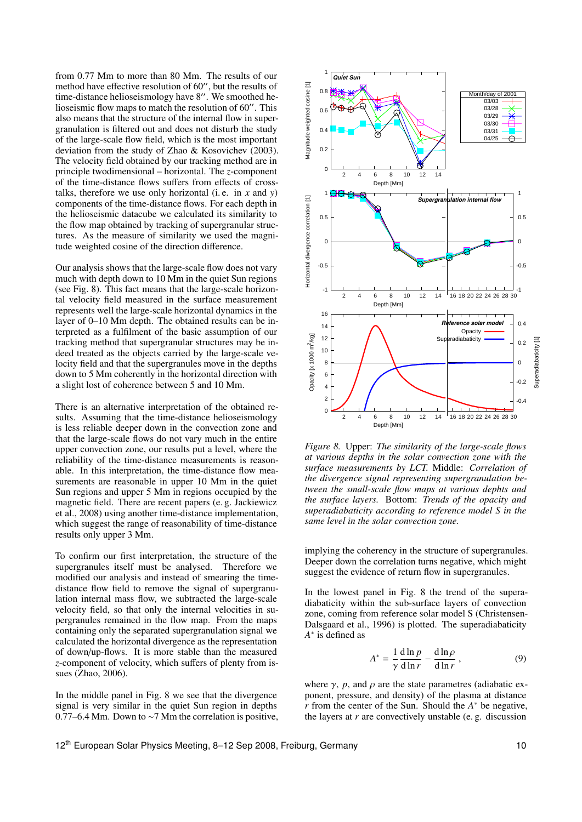from 0.77 Mm to more than 80 Mm. The results of our method have effective resolution of  $60$ ", but the results of time-distance helioseismology have  $8''$ . We smoothed helioseismic flow maps to match the resolution of  $60$ ". This also means that the structure of the internal flow in supergranulation is filtered out and does not disturb the study of the large-scale flow field, which is the most important deviation from the study of Zhao & Kosovichev (2003). The velocity field obtained by our tracking method are in principle twodimensional – horizontal. The *z*-component of the time-distance flows suffers from effects of crosstalks, therefore we use only horizontal (i. e. in *x* and *y*) components of the time-distance flows. For each depth in the helioseismic datacube we calculated its similarity to the flow map obtained by tracking of supergranular structures. As the measure of similarity we used the magnitude weighted cosine of the direction difference.

Our analysis shows that the large-scale flow does not vary much with depth down to 10 Mm in the quiet Sun regions (see Fig. 8). This fact means that the large-scale horizontal velocity field measured in the surface measurement represents well the large-scale horizontal dynamics in the layer of 0–10 Mm depth. The obtained results can be interpreted as a fulfilment of the basic assumption of our tracking method that supergranular structures may be indeed treated as the objects carried by the large-scale velocity field and that the supergranules move in the depths down to 5 Mm coherently in the horizontal direction with a slight lost of coherence between 5 and 10 Mm.

There is an alternative interpretation of the obtained results. Assuming that the time-distance helioseismology is less reliable deeper down in the convection zone and that the large-scale flows do not vary much in the entire upper convection zone, our results put a level, where the reliability of the time-distance measurements is reasonable. In this interpretation, the time-distance flow measurements are reasonable in upper 10 Mm in the quiet Sun regions and upper 5 Mm in regions occupied by the magnetic field. There are recent papers (e. g. Jackiewicz et al., 2008) using another time-distance implementation, which suggest the range of reasonability of time-distance results only upper 3 Mm.

To confirm our first interpretation, the structure of the supergranules itself must be analysed. Therefore we modified our analysis and instead of smearing the timedistance flow field to remove the signal of supergranulation internal mass flow, we subtracted the large-scale velocity field, so that only the internal velocities in supergranules remained in the flow map. From the maps containing only the separated supergranulation signal we calculated the horizontal divergence as the representation of down/up-flows. It is more stable than the measured *z*-component of velocity, which suffers of plenty from issues (Zhao, 2006).

In the middle panel in Fig. 8 we see that the divergence signal is very similar in the quiet Sun region in depths 0.77–6.4 Mm. Down to ∼7 Mm the correlation is positive,

![](_page_9_Figure_5.jpeg)

*Figure 8.* Upper: *The similarity of the large-scale flows at various depths in the solar convection zone with the surface measurements by LCT.* Middle: *Correlation of the divergence signal representing supergranulation between the small-scale flow maps at various dephts and the surface layers.* Bottom: *Trends of the opacity and superadiabaticity according to reference model S in the same level in the solar convection zone.*

implying the coherency in the structure of supergranules. Deeper down the correlation turns negative, which might suggest the evidence of return flow in supergranules.

In the lowest panel in Fig. 8 the trend of the superadiabaticity within the sub-surface layers of convection zone, coming from reference solar model S (Christensen-Dalsgaard et al., 1996) is plotted. The superadiabaticity *A* ∗ is defined as

$$
A^* = \frac{1}{\gamma} \frac{d \ln p}{d \ln r} - \frac{d \ln \rho}{d \ln r},
$$
 (9)

where  $\gamma$ , *p*, and  $\rho$  are the state parametres (adiabatic exponent, pressure, and density) of the plasma at distance *r* from the center of the Sun. Should the *A* <sup>∗</sup> be negative, the layers at *r* are convectively unstable (e. g. discussion